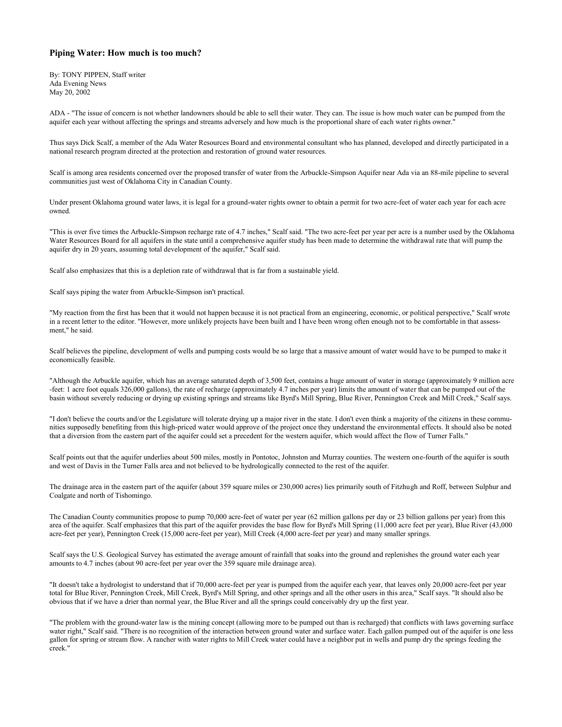## **Piping Water: How much is too much?**

By: TONY PIPPEN, Staff writer Ada Evening News May 20, 2002

ADA - "The issue of concern is not whether landowners should be able to sell their water. They can. The issue is how much water can be pumped from the aquifer each year without affecting the springs and streams adversely and how much is the proportional share of each water rights owner."

Thus says Dick Scalf, a member of the Ada Water Resources Board and environmental consultant who has planned, developed and directly participated in a national research program directed at the protection and restoration of ground water resources.

Scalf is among area residents concerned over the proposed transfer of water from the Arbuckle-Simpson Aquifer near Ada via an 88-mile pipeline to several communities just west of Oklahoma City in Canadian County.

Under present Oklahoma ground water laws, it is legal for a ground-water rights owner to obtain a permit for two acre-feet of water each year for each acre owned.

"This is over five times the Arbuckle-Simpson recharge rate of 4.7 inches," Scalf said. "The two acre-feet per year per acre is a number used by the Oklahoma Water Resources Board for all aquifers in the state until a comprehensive aquifer study has been made to determine the withdrawal rate that will pump the aquifer dry in 20 years, assuming total development of the aquifer," Scalf said.

Scalf also emphasizes that this is a depletion rate of withdrawal that is far from a sustainable yield.

Scalf says piping the water from Arbuckle-Simpson isn't practical.

"My reaction from the first has been that it would not happen because it is not practical from an engineering, economic, or political perspective," Scalf wrote in a recent letter to the editor. "However, more unlikely projects have been built and I have been wrong often enough not to be comfortable in that assessment," he said.

Scalf believes the pipeline, development of wells and pumping costs would be so large that a massive amount of water would have to be pumped to make it economically feasible.

"Although the Arbuckle aquifer, which has an average saturated depth of 3,500 feet, contains a huge amount of water in storage (approximately 9 million acre -feet: 1 acre foot equals 326,000 gallons), the rate of recharge (approximately 4.7 inches per year) limits the amount of water that can be pumped out of the basin without severely reducing or drying up existing springs and streams like Byrd's Mill Spring, Blue River, Pennington Creek and Mill Creek," Scalf says.

"I don't believe the courts and/or the Legislature will tolerate drying up a major river in the state. I don't even think a majority of the citizens in these communities supposedly benefiting from this high-priced water would approve of the project once they understand the environmental effects. It should also be noted that a diversion from the eastern part of the aquifer could set a precedent for the western aquifer, which would affect the flow of Turner Falls."

Scalf points out that the aquifer underlies about 500 miles, mostly in Pontotoc, Johnston and Murray counties. The western one-fourth of the aquifer is south and west of Davis in the Turner Falls area and not believed to be hydrologically connected to the rest of the aquifer.

The drainage area in the eastern part of the aquifer (about 359 square miles or 230,000 acres) lies primarily south of Fitzhugh and Roff, between Sulphur and Coalgate and north of Tishomingo.

The Canadian County communities propose to pump 70,000 acre-feet of water per year (62 million gallons per day or 23 billion gallons per year) from this area of the aquifer. Scalf emphasizes that this part of the aquifer provides the base flow for Byrd's Mill Spring (11,000 acre feet per year), Blue River (43,000 acre-feet per year), Pennington Creek (15,000 acre-feet per year), Mill Creek (4,000 acre-feet per year) and many smaller springs.

Scalf says the U.S. Geological Survey has estimated the average amount of rainfall that soaks into the ground and replenishes the ground water each year amounts to 4.7 inches (about 90 acre-feet per year over the 359 square mile drainage area).

"It doesn't take a hydrologist to understand that if 70,000 acre-feet per year is pumped from the aquifer each year, that leaves only 20,000 acre-feet per year total for Blue River, Pennington Creek, Mill Creek, Byrd's Mill Spring, and other springs and all the other users in this area," Scalf says. "It should also be obvious that if we have a drier than normal year, the Blue River and all the springs could conceivably dry up the first year.

"The problem with the ground-water law is the mining concept (allowing more to be pumped out than is recharged) that conflicts with laws governing surface water right," Scalf said. "There is no recognition of the interaction between ground water and surface water. Each gallon pumped out of the aquifer is one less gallon for spring or stream flow. A rancher with water rights to Mill Creek water could have a neighbor put in wells and pump dry the springs feeding the creek."